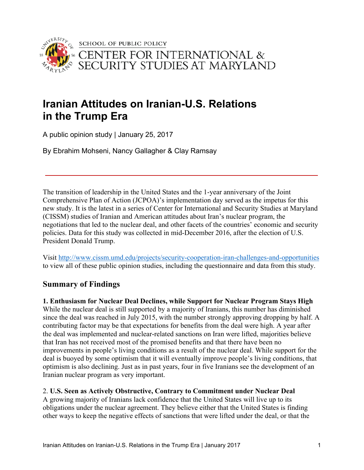

# **Iranian Attitudes on Iranian-U.S. Relations in the Trump Era**

A public opinion study | January 25, 2017

By Ebrahim Mohseni, Nancy Gallagher & Clay Ramsay

The transition of leadership in the United States and the 1-year anniversary of the Joint Comprehensive Plan of Action (JCPOA)'s implementation day served as the impetus for this new study. It is the latest in a series of Center for International and Security Studies at Maryland (CISSM) studies of Iranian and American attitudes about Iran's nuclear program, the negotiations that led to the nuclear deal, and other facets of the countries' economic and security policies. Data for this study was collected in mid-December 2016, after the election of U.S. President Donald Trump.

Visit http://www.cissm.umd.edu/projects/security-cooperation-iran-challenges-and-opportunities to view all of these public opinion studies, including the questionnaire and data from this study.

# **Summary of Findings**

**1. Enthusiasm for Nuclear Deal Declines, while Support for Nuclear Program Stays High** While the nuclear deal is still supported by a majority of Iranians, this number has diminished since the deal was reached in July 2015, with the number strongly approving dropping by half. A contributing factor may be that expectations for benefits from the deal were high. A year after the deal was implemented and nuclear-related sanctions on Iran were lifted, majorities believe that Iran has not received most of the promised benefits and that there have been no improvements in people's living conditions as a result of the nuclear deal. While support for the deal is buoyed by some optimism that it will eventually improve people's living conditions, that optimism is also declining. Just as in past years, four in five Iranians see the development of an Iranian nuclear program as very important.

# 2. **U.S. Seen as Actively Obstructive, Contrary to Commitment under Nuclear Deal**

A growing majority of Iranians lack confidence that the United States will live up to its obligations under the nuclear agreement. They believe either that the United States is finding other ways to keep the negative effects of sanctions that were lifted under the deal, or that the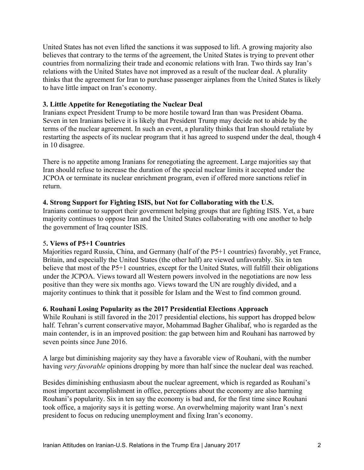United States has not even lifted the sanctions it was supposed to lift. A growing majority also believes that contrary to the terms of the agreement, the United States is trying to prevent other countries from normalizing their trade and economic relations with Iran. Two thirds say Iran's relations with the United States have not improved as a result of the nuclear deal. A plurality thinks that the agreement for Iran to purchase passenger airplanes from the United States is likely to have little impact on Iran's economy.

### **3. Little Appetite for Renegotiating the Nuclear Deal**

Iranians expect President Trump to be more hostile toward Iran than was President Obama. Seven in ten Iranians believe it is likely that President Trump may decide not to abide by the terms of the nuclear agreement. In such an event, a plurality thinks that Iran should retaliate by restarting the aspects of its nuclear program that it has agreed to suspend under the deal, though 4 in 10 disagree.

There is no appetite among Iranians for renegotiating the agreement. Large majorities say that Iran should refuse to increase the duration of the special nuclear limits it accepted under the JCPOA or terminate its nuclear enrichment program, even if offered more sanctions relief in return.

## **4. Strong Support for Fighting ISIS, but Not for Collaborating with the U.S.**

Iranians continue to support their government helping groups that are fighting ISIS. Yet, a bare majority continues to oppose Iran and the United States collaborating with one another to help the government of Iraq counter ISIS.

### 5**. Views of P5+1 Countries**

Majorities regard Russia, China, and Germany (half of the P5+1 countries) favorably, yet France, Britain, and especially the United States (the other half) are viewed unfavorably. Six in ten believe that most of the P5+1 countries, except for the United States, will fulfill their obligations under the JCPOA. Views toward all Western powers involved in the negotiations are now less positive than they were six months ago. Views toward the UN are roughly divided, and a majority continues to think that it possible for Islam and the West to find common ground.

### **6. Rouhani Losing Popularity as the 2017 Presidential Elections Approach**

While Rouhani is still favored in the 2017 presidential elections, his support has dropped below half. Tehran's current conservative mayor, Mohammad Bagher Ghalibaf, who is regarded as the main contender, is in an improved position: the gap between him and Rouhani has narrowed by seven points since June 2016.

A large but diminishing majority say they have a favorable view of Rouhani, with the number having *very favorable* opinions dropping by more than half since the nuclear deal was reached.

Besides diminishing enthusiasm about the nuclear agreement, which is regarded as Rouhani's most important accomplishment in office, perceptions about the economy are also harming Rouhani's popularity. Six in ten say the economy is bad and, for the first time since Rouhani took office, a majority says it is getting worse. An overwhelming majority want Iran's next president to focus on reducing unemployment and fixing Iran's economy.